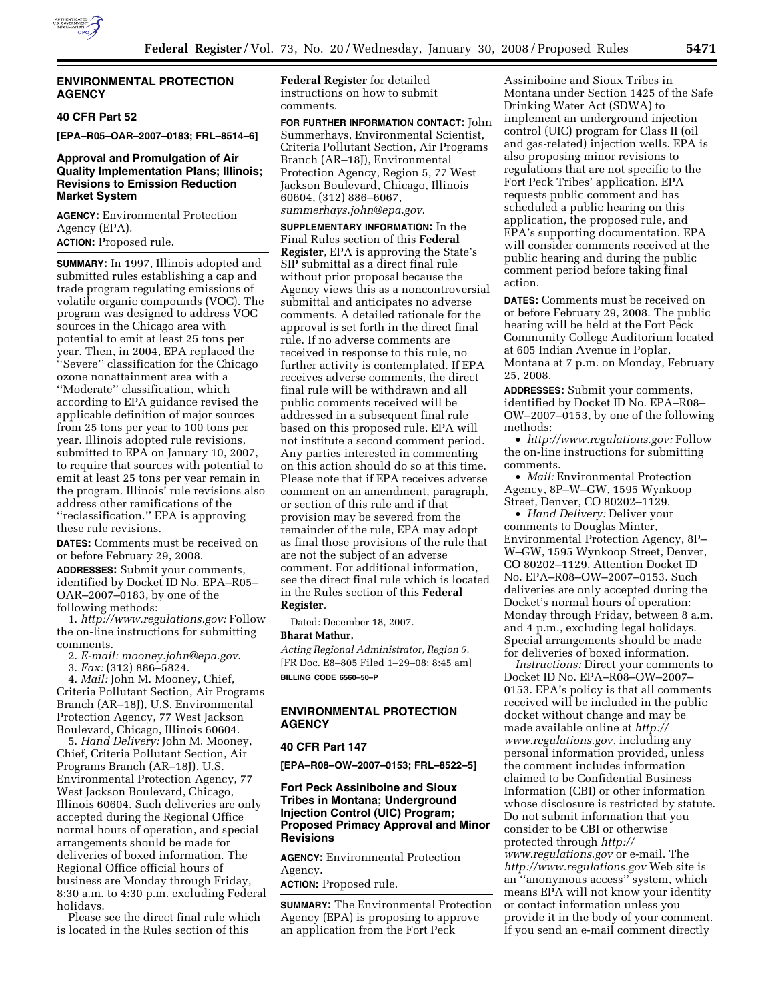

## **ENVIRONMENTAL PROTECTION AGENCY**

## **40 CFR Part 52**

**[EPA–R05–OAR–2007–0183; FRL–8514–6]** 

## **Approval and Promulgation of Air Quality Implementation Plans; Illinois; Revisions to Emission Reduction Market System**

**AGENCY:** Environmental Protection Agency (EPA). **ACTION:** Proposed rule.

**SUMMARY:** In 1997, Illinois adopted and submitted rules establishing a cap and trade program regulating emissions of volatile organic compounds (VOC). The program was designed to address VOC sources in the Chicago area with potential to emit at least 25 tons per year. Then, in 2004, EPA replaced the ''Severe'' classification for the Chicago ozone nonattainment area with a ''Moderate'' classification, which according to EPA guidance revised the applicable definition of major sources from 25 tons per year to 100 tons per year. Illinois adopted rule revisions, submitted to EPA on January 10, 2007, to require that sources with potential to emit at least 25 tons per year remain in the program. Illinois' rule revisions also address other ramifications of the ''reclassification.'' EPA is approving these rule revisions.

**DATES:** Comments must be received on or before February 29, 2008.

**ADDRESSES:** Submit your comments, identified by Docket ID No. EPA–R05– OAR–2007–0183, by one of the following methods:

1. *http://www.regulations.gov:* Follow the on-line instructions for submitting comments.

2. *E-mail: mooney.john@epa.gov*.

3. *Fax:* (312) 886–5824.

4. *Mail:* John M. Mooney, Chief, Criteria Pollutant Section, Air Programs Branch (AR–18J), U.S. Environmental Protection Agency, 77 West Jackson Boulevard, Chicago, Illinois 60604.

5. *Hand Delivery:* John M. Mooney, Chief, Criteria Pollutant Section, Air Programs Branch (AR–18J), U.S. Environmental Protection Agency, 77 West Jackson Boulevard, Chicago, Illinois 60604. Such deliveries are only accepted during the Regional Office normal hours of operation, and special arrangements should be made for deliveries of boxed information. The Regional Office official hours of business are Monday through Friday, 8:30 a.m. to 4:30 p.m. excluding Federal holidays.

Please see the direct final rule which is located in the Rules section of this

**Federal Register** for detailed instructions on how to submit comments.

**FOR FURTHER INFORMATION CONTACT:** John Summerhays, Environmental Scientist, Criteria Pollutant Section, Air Programs Branch (AR–18J), Environmental Protection Agency, Region 5, 77 West Jackson Boulevard, Chicago, Illinois 60604, (312) 886–6067, *summerhays.john@epa.gov*.

**SUPPLEMENTARY INFORMATION:** In the Final Rules section of this **Federal Register**, EPA is approving the State's SIP submittal as a direct final rule without prior proposal because the Agency views this as a noncontroversial submittal and anticipates no adverse comments. A detailed rationale for the approval is set forth in the direct final rule. If no adverse comments are received in response to this rule, no further activity is contemplated. If EPA receives adverse comments, the direct final rule will be withdrawn and all public comments received will be addressed in a subsequent final rule based on this proposed rule. EPA will not institute a second comment period. Any parties interested in commenting on this action should do so at this time. Please note that if EPA receives adverse comment on an amendment, paragraph, or section of this rule and if that provision may be severed from the remainder of the rule, EPA may adopt as final those provisions of the rule that are not the subject of an adverse comment. For additional information, see the direct final rule which is located in the Rules section of this **Federal Register**.

Dated: December 18, 2007.

## **Bharat Mathur,**

*Acting Regional Administrator, Region 5.*  [FR Doc. E8–805 Filed 1–29–08; 8:45 am] **BILLING CODE 6560–50–P** 

# **ENVIRONMENTAL PROTECTION AGENCY**

#### **40 CFR Part 147**

**[EPA–R08–OW–2007–0153; FRL–8522–5]** 

## **Fort Peck Assiniboine and Sioux Tribes in Montana; Underground Injection Control (UIC) Program; Proposed Primacy Approval and Minor Revisions**

**AGENCY:** Environmental Protection Agency.

**ACTION:** Proposed rule.

**SUMMARY:** The Environmental Protection Agency (EPA) is proposing to approve an application from the Fort Peck

Assiniboine and Sioux Tribes in Montana under Section 1425 of the Safe Drinking Water Act (SDWA) to implement an underground injection control (UIC) program for Class II (oil and gas-related) injection wells. EPA is also proposing minor revisions to regulations that are not specific to the Fort Peck Tribes' application. EPA requests public comment and has scheduled a public hearing on this application, the proposed rule, and EPA's supporting documentation. EPA will consider comments received at the public hearing and during the public comment period before taking final action.

**DATES:** Comments must be received on or before February 29, 2008. The public hearing will be held at the Fort Peck Community College Auditorium located at 605 Indian Avenue in Poplar, Montana at 7 p.m. on Monday, February 25, 2008.

**ADDRESSES:** Submit your comments, identified by Docket ID No. EPA–R08– OW–2007–0153, by one of the following methods:

• *http://www.regulations.gov:* Follow the on-line instructions for submitting comments.

• *Mail:* Environmental Protection Agency, 8P–W–GW, 1595 Wynkoop Street, Denver, CO 80202–1129.

• *Hand Delivery:* Deliver your comments to Douglas Minter, Environmental Protection Agency, 8P– W–GW, 1595 Wynkoop Street, Denver, CO 80202–1129, Attention Docket ID No. EPA–R08–OW–2007–0153. Such deliveries are only accepted during the Docket's normal hours of operation: Monday through Friday, between 8 a.m. and 4 p.m., excluding legal holidays. Special arrangements should be made for deliveries of boxed information.

*Instructions:* Direct your comments to Docket ID No. EPA–R08–OW–2007– 0153. EPA's policy is that all comments received will be included in the public docket without change and may be made available online at *http:// www.regulations.gov*, including any personal information provided, unless the comment includes information claimed to be Confidential Business Information (CBI) or other information whose disclosure is restricted by statute. Do not submit information that you consider to be CBI or otherwise protected through *http:// www.regulations.gov* or e-mail. The *http://www.regulations.gov* Web site is an ''anonymous access'' system, which means EPA will not know your identity or contact information unless you provide it in the body of your comment. If you send an e-mail comment directly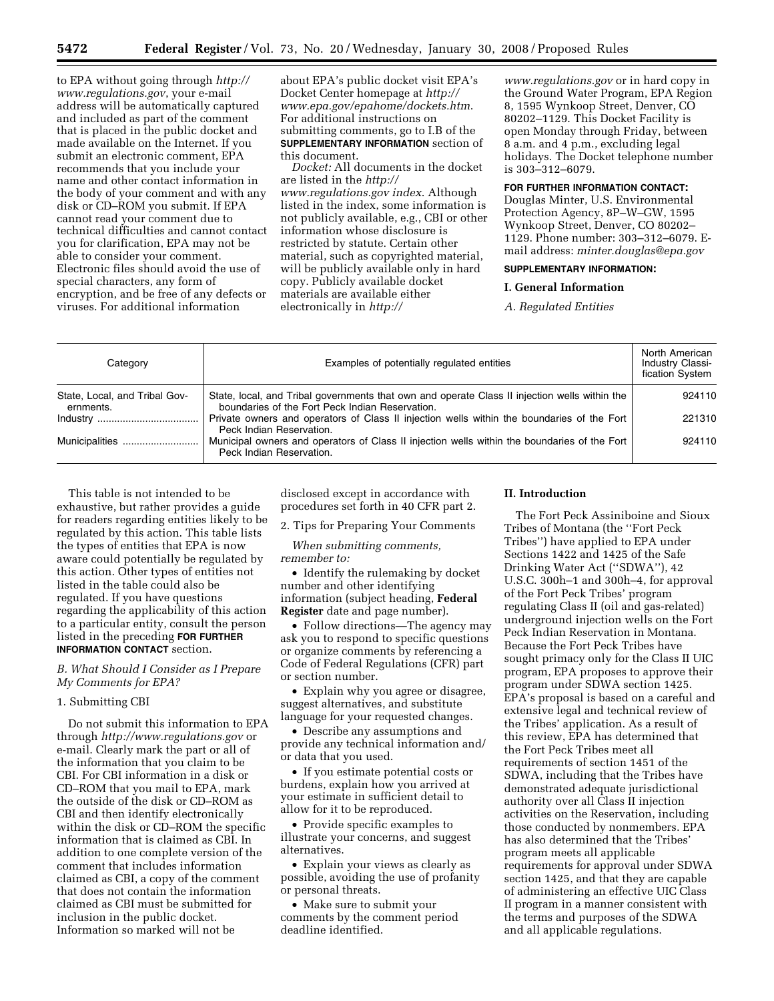to EPA without going through *http:// www.regulations.gov*, your e-mail address will be automatically captured and included as part of the comment that is placed in the public docket and made available on the Internet. If you submit an electronic comment, EPA recommends that you include your name and other contact information in the body of your comment and with any disk or CD–ROM you submit. If EPA cannot read your comment due to technical difficulties and cannot contact you for clarification, EPA may not be able to consider your comment. Electronic files should avoid the use of special characters, any form of encryption, and be free of any defects or viruses. For additional information

about EPA's public docket visit EPA's Docket Center homepage at *http:// www.epa.gov/epahome/dockets.htm*. For additional instructions on submitting comments, go to I.B of the **SUPPLEMENTARY INFORMATION** section of this document.

*Docket:* All documents in the docket are listed in the *http:// www.regulations.gov index*. Although listed in the index, some information is not publicly available, e.g., CBI or other information whose disclosure is restricted by statute. Certain other material, such as copyrighted material, will be publicly available only in hard copy. Publicly available docket materials are available either electronically in *http://* 

*www.regulations.gov* or in hard copy in the Ground Water Program, EPA Region 8, 1595 Wynkoop Street, Denver, CO 80202–1129. This Docket Facility is open Monday through Friday, between 8 a.m. and 4 p.m., excluding legal holidays. The Docket telephone number is 303–312–6079.

## **FOR FURTHER INFORMATION CONTACT:**

Douglas Minter, U.S. Environmental Protection Agency, 8P–W–GW, 1595 Wynkoop Street, Denver, CO 80202– 1129. Phone number: 303–312–6079. Email address: *minter.douglas@epa.gov* 

# **SUPPLEMENTARY INFORMATION:**

#### **I. General Information**

*A. Regulated Entities* 

| Category                                   | Examples of potentially regulated entities                                                                                                       | North American<br><b>Industry Classi-</b><br>fication System |
|--------------------------------------------|--------------------------------------------------------------------------------------------------------------------------------------------------|--------------------------------------------------------------|
| State, Local, and Tribal Gov-<br>ernments. | State, local, and Tribal governments that own and operate Class II injection wells within the<br>boundaries of the Fort Peck Indian Reservation. | 924110                                                       |
|                                            | Private owners and operators of Class II injection wells within the boundaries of the Fort<br>Peck Indian Reservation.                           | 221310                                                       |
| Municipalities                             | Municipal owners and operators of Class II injection wells within the boundaries of the Fort<br>Peck Indian Reservation.                         | 924110                                                       |

This table is not intended to be exhaustive, but rather provides a guide for readers regarding entities likely to be regulated by this action. This table lists the types of entities that EPA is now aware could potentially be regulated by this action. Other types of entities not listed in the table could also be regulated. If you have questions regarding the applicability of this action to a particular entity, consult the person listed in the preceding **FOR FURTHER INFORMATION CONTACT** section.

*B. What Should I Consider as I Prepare My Comments for EPA?* 

### 1. Submitting CBI

Do not submit this information to EPA through *http://www.regulations.gov* or e-mail. Clearly mark the part or all of the information that you claim to be CBI. For CBI information in a disk or CD–ROM that you mail to EPA, mark the outside of the disk or CD–ROM as CBI and then identify electronically within the disk or CD–ROM the specific information that is claimed as CBI. In addition to one complete version of the comment that includes information claimed as CBI, a copy of the comment that does not contain the information claimed as CBI must be submitted for inclusion in the public docket. Information so marked will not be

disclosed except in accordance with procedures set forth in 40 CFR part 2.

2. Tips for Preparing Your Comments

*When submitting comments, remember to:* 

• Identify the rulemaking by docket number and other identifying information (subject heading, **Federal Register** date and page number).

• Follow directions—The agency may ask you to respond to specific questions or organize comments by referencing a Code of Federal Regulations (CFR) part or section number.

• Explain why you agree or disagree, suggest alternatives, and substitute language for your requested changes.

• Describe any assumptions and provide any technical information and/ or data that you used.

• If you estimate potential costs or burdens, explain how you arrived at your estimate in sufficient detail to allow for it to be reproduced.

• Provide specific examples to illustrate your concerns, and suggest alternatives.

• Explain your views as clearly as possible, avoiding the use of profanity or personal threats.

• Make sure to submit your comments by the comment period deadline identified.

## **II. Introduction**

The Fort Peck Assiniboine and Sioux Tribes of Montana (the ''Fort Peck Tribes'') have applied to EPA under Sections 1422 and 1425 of the Safe Drinking Water Act (''SDWA''), 42 U.S.C. 300h–1 and 300h–4, for approval of the Fort Peck Tribes' program regulating Class II (oil and gas-related) underground injection wells on the Fort Peck Indian Reservation in Montana. Because the Fort Peck Tribes have sought primacy only for the Class II UIC program, EPA proposes to approve their program under SDWA section 1425. EPA's proposal is based on a careful and extensive legal and technical review of the Tribes' application. As a result of this review, EPA has determined that the Fort Peck Tribes meet all requirements of section 1451 of the SDWA, including that the Tribes have demonstrated adequate jurisdictional authority over all Class II injection activities on the Reservation, including those conducted by nonmembers. EPA has also determined that the Tribes' program meets all applicable requirements for approval under SDWA section 1425, and that they are capable of administering an effective UIC Class II program in a manner consistent with the terms and purposes of the SDWA and all applicable regulations.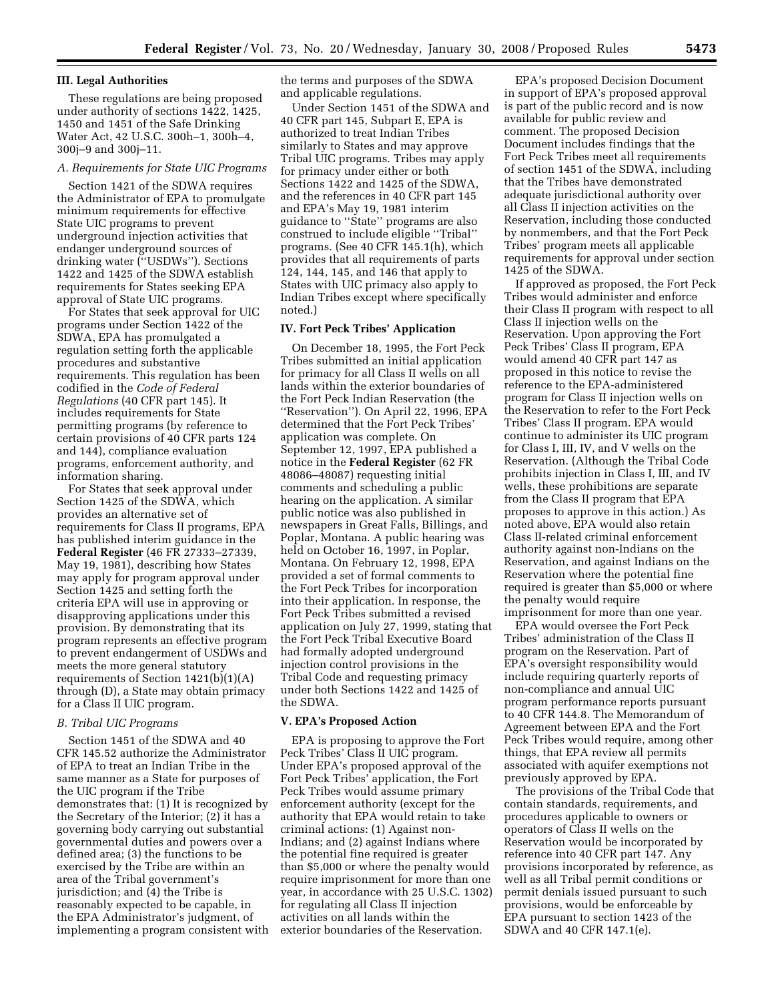### **III. Legal Authorities**

These regulations are being proposed under authority of sections 1422, 1425, 1450 and 1451 of the Safe Drinking Water Act, 42 U.S.C. 300h–1, 300h–4, 300j–9 and 300j–11.

## *A. Requirements for State UIC Programs*

Section 1421 of the SDWA requires the Administrator of EPA to promulgate minimum requirements for effective State UIC programs to prevent underground injection activities that endanger underground sources of drinking water (''USDWs''). Sections 1422 and 1425 of the SDWA establish requirements for States seeking EPA approval of State UIC programs.

For States that seek approval for UIC programs under Section 1422 of the SDWA, EPA has promulgated a regulation setting forth the applicable procedures and substantive requirements. This regulation has been codified in the *Code of Federal Regulations* (40 CFR part 145). It includes requirements for State permitting programs (by reference to certain provisions of 40 CFR parts 124 and 144), compliance evaluation programs, enforcement authority, and information sharing.

For States that seek approval under Section 1425 of the SDWA, which provides an alternative set of requirements for Class II programs, EPA has published interim guidance in the **Federal Register** (46 FR 27333–27339, May 19, 1981), describing how States may apply for program approval under Section 1425 and setting forth the criteria EPA will use in approving or disapproving applications under this provision. By demonstrating that its program represents an effective program to prevent endangerment of USDWs and meets the more general statutory requirements of Section 1421(b)(1)(A) through (D), a State may obtain primacy for a Class II UIC program.

#### *B. Tribal UIC Programs*

Section 1451 of the SDWA and 40 CFR 145.52 authorize the Administrator of EPA to treat an Indian Tribe in the same manner as a State for purposes of the UIC program if the Tribe demonstrates that: (1) It is recognized by the Secretary of the Interior; (2) it has a governing body carrying out substantial governmental duties and powers over a defined area; (3) the functions to be exercised by the Tribe are within an area of the Tribal government's jurisdiction; and (4) the Tribe is reasonably expected to be capable, in the EPA Administrator's judgment, of implementing a program consistent with the terms and purposes of the SDWA and applicable regulations.

Under Section 1451 of the SDWA and 40 CFR part 145, Subpart E, EPA is authorized to treat Indian Tribes similarly to States and may approve Tribal UIC programs. Tribes may apply for primacy under either or both Sections 1422 and 1425 of the SDWA, and the references in 40 CFR part 145 and EPA's May 19, 1981 interim guidance to ''State'' programs are also construed to include eligible ''Tribal'' programs. (See 40 CFR 145.1(h), which provides that all requirements of parts 124, 144, 145, and 146 that apply to States with UIC primacy also apply to Indian Tribes except where specifically noted.)

#### **IV. Fort Peck Tribes' Application**

On December 18, 1995, the Fort Peck Tribes submitted an initial application for primacy for all Class II wells on all lands within the exterior boundaries of the Fort Peck Indian Reservation (the ''Reservation''). On April 22, 1996, EPA determined that the Fort Peck Tribes' application was complete. On September 12, 1997, EPA published a notice in the **Federal Register** (62 FR 48086–48087) requesting initial comments and scheduling a public hearing on the application. A similar public notice was also published in newspapers in Great Falls, Billings, and Poplar, Montana. A public hearing was held on October 16, 1997, in Poplar, Montana. On February 12, 1998, EPA provided a set of formal comments to the Fort Peck Tribes for incorporation into their application. In response, the Fort Peck Tribes submitted a revised application on July 27, 1999, stating that the Fort Peck Tribal Executive Board had formally adopted underground injection control provisions in the Tribal Code and requesting primacy under both Sections 1422 and 1425 of the SDWA.

### **V. EPA's Proposed Action**

EPA is proposing to approve the Fort Peck Tribes' Class II UIC program. Under EPA's proposed approval of the Fort Peck Tribes' application, the Fort Peck Tribes would assume primary enforcement authority (except for the authority that EPA would retain to take criminal actions: (1) Against non-Indians; and (2) against Indians where the potential fine required is greater than \$5,000 or where the penalty would require imprisonment for more than one year, in accordance with 25 U.S.C. 1302) for regulating all Class II injection activities on all lands within the exterior boundaries of the Reservation.

EPA's proposed Decision Document in support of EPA's proposed approval is part of the public record and is now available for public review and comment. The proposed Decision Document includes findings that the Fort Peck Tribes meet all requirements of section 1451 of the SDWA, including that the Tribes have demonstrated adequate jurisdictional authority over all Class II injection activities on the Reservation, including those conducted by nonmembers, and that the Fort Peck Tribes' program meets all applicable requirements for approval under section 1425 of the SDWA.

If approved as proposed, the Fort Peck Tribes would administer and enforce their Class II program with respect to all Class II injection wells on the Reservation. Upon approving the Fort Peck Tribes' Class II program, EPA would amend 40 CFR part 147 as proposed in this notice to revise the reference to the EPA-administered program for Class II injection wells on the Reservation to refer to the Fort Peck Tribes' Class II program. EPA would continue to administer its UIC program for Class I, III, IV, and V wells on the Reservation. (Although the Tribal Code prohibits injection in Class I, III, and IV wells, these prohibitions are separate from the Class II program that EPA proposes to approve in this action.) As noted above, EPA would also retain Class II-related criminal enforcement authority against non-Indians on the Reservation, and against Indians on the Reservation where the potential fine required is greater than \$5,000 or where the penalty would require imprisonment for more than one year.

EPA would oversee the Fort Peck Tribes' administration of the Class II program on the Reservation. Part of EPA's oversight responsibility would include requiring quarterly reports of non-compliance and annual UIC program performance reports pursuant to 40 CFR 144.8. The Memorandum of Agreement between EPA and the Fort Peck Tribes would require, among other things, that EPA review all permits associated with aquifer exemptions not previously approved by EPA.

The provisions of the Tribal Code that contain standards, requirements, and procedures applicable to owners or operators of Class II wells on the Reservation would be incorporated by reference into 40 CFR part 147. Any provisions incorporated by reference, as well as all Tribal permit conditions or permit denials issued pursuant to such provisions, would be enforceable by EPA pursuant to section 1423 of the SDWA and 40 CFR 147.1(e).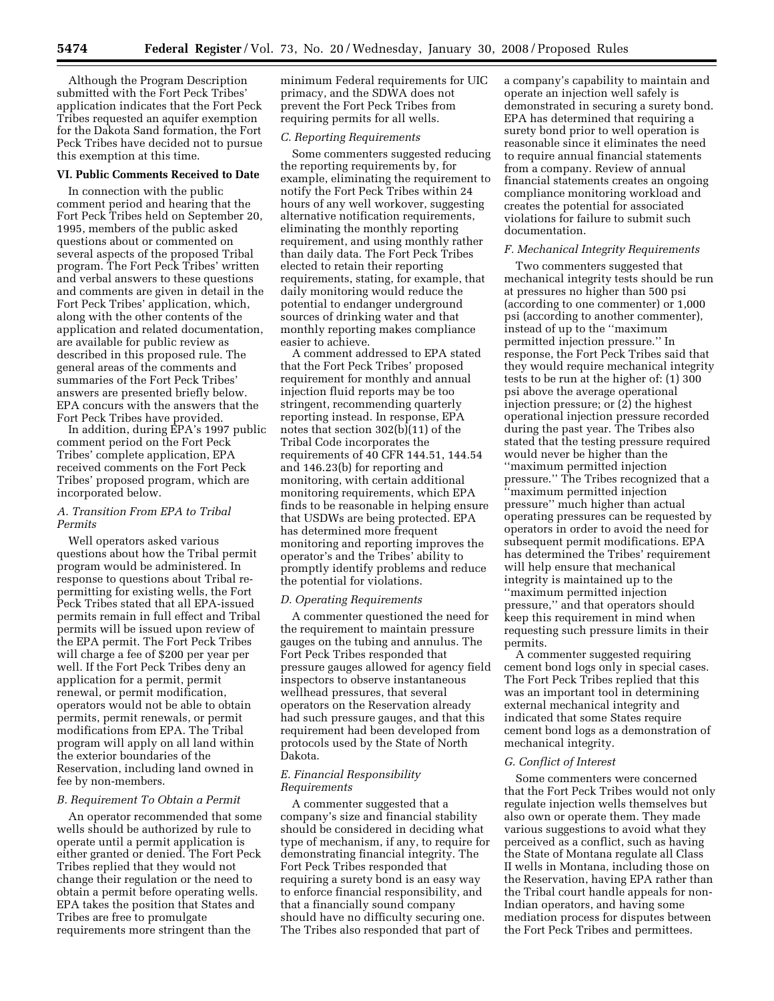Although the Program Description submitted with the Fort Peck Tribes' application indicates that the Fort Peck Tribes requested an aquifer exemption for the Dakota Sand formation, the Fort Peck Tribes have decided not to pursue this exemption at this time.

#### **VI. Public Comments Received to Date**

In connection with the public comment period and hearing that the Fort Peck Tribes held on September 20, 1995, members of the public asked questions about or commented on several aspects of the proposed Tribal program. The Fort Peck Tribes' written and verbal answers to these questions and comments are given in detail in the Fort Peck Tribes' application, which, along with the other contents of the application and related documentation, are available for public review as described in this proposed rule. The general areas of the comments and summaries of the Fort Peck Tribes' answers are presented briefly below. EPA concurs with the answers that the Fort Peck Tribes have provided.

In addition, during EPA's 1997 public comment period on the Fort Peck Tribes' complete application, EPA received comments on the Fort Peck Tribes' proposed program, which are incorporated below.

## *A. Transition From EPA to Tribal Permits*

Well operators asked various questions about how the Tribal permit program would be administered. In response to questions about Tribal repermitting for existing wells, the Fort Peck Tribes stated that all EPA-issued permits remain in full effect and Tribal permits will be issued upon review of the EPA permit. The Fort Peck Tribes will charge a fee of \$200 per year per well. If the Fort Peck Tribes deny an application for a permit, permit renewal, or permit modification, operators would not be able to obtain permits, permit renewals, or permit modifications from EPA. The Tribal program will apply on all land within the exterior boundaries of the Reservation, including land owned in fee by non-members.

### *B. Requirement To Obtain a Permit*

An operator recommended that some wells should be authorized by rule to operate until a permit application is either granted or denied. The Fort Peck Tribes replied that they would not change their regulation or the need to obtain a permit before operating wells. EPA takes the position that States and Tribes are free to promulgate requirements more stringent than the

minimum Federal requirements for UIC primacy, and the SDWA does not prevent the Fort Peck Tribes from requiring permits for all wells.

# *C. Reporting Requirements*

Some commenters suggested reducing the reporting requirements by, for example, eliminating the requirement to notify the Fort Peck Tribes within 24 hours of any well workover, suggesting alternative notification requirements, eliminating the monthly reporting requirement, and using monthly rather than daily data. The Fort Peck Tribes elected to retain their reporting requirements, stating, for example, that daily monitoring would reduce the potential to endanger underground sources of drinking water and that monthly reporting makes compliance easier to achieve.

A comment addressed to EPA stated that the Fort Peck Tribes' proposed requirement for monthly and annual injection fluid reports may be too stringent, recommending quarterly reporting instead. In response, EPA notes that section 302(b)(11) of the Tribal Code incorporates the requirements of 40 CFR 144.51, 144.54 and 146.23(b) for reporting and monitoring, with certain additional monitoring requirements, which EPA finds to be reasonable in helping ensure that USDWs are being protected. EPA has determined more frequent monitoring and reporting improves the operator's and the Tribes' ability to promptly identify problems and reduce the potential for violations.

#### *D. Operating Requirements*

A commenter questioned the need for the requirement to maintain pressure gauges on the tubing and annulus. The Fort Peck Tribes responded that pressure gauges allowed for agency field inspectors to observe instantaneous wellhead pressures, that several operators on the Reservation already had such pressure gauges, and that this requirement had been developed from protocols used by the State of North Dakota.

### *E. Financial Responsibility Requirements*

A commenter suggested that a company's size and financial stability should be considered in deciding what type of mechanism, if any, to require for demonstrating financial integrity. The Fort Peck Tribes responded that requiring a surety bond is an easy way to enforce financial responsibility, and that a financially sound company should have no difficulty securing one. The Tribes also responded that part of

a company's capability to maintain and operate an injection well safely is demonstrated in securing a surety bond. EPA has determined that requiring a surety bond prior to well operation is reasonable since it eliminates the need to require annual financial statements from a company. Review of annual financial statements creates an ongoing compliance monitoring workload and creates the potential for associated violations for failure to submit such documentation.

### *F. Mechanical Integrity Requirements*

Two commenters suggested that mechanical integrity tests should be run at pressures no higher than 500 psi (according to one commenter) or 1,000 psi (according to another commenter), instead of up to the ''maximum permitted injection pressure.'' In response, the Fort Peck Tribes said that they would require mechanical integrity tests to be run at the higher of: (1) 300 psi above the average operational injection pressure; or (2) the highest operational injection pressure recorded during the past year. The Tribes also stated that the testing pressure required would never be higher than the ''maximum permitted injection pressure.'' The Tribes recognized that a ''maximum permitted injection pressure'' much higher than actual operating pressures can be requested by operators in order to avoid the need for subsequent permit modifications. EPA has determined the Tribes' requirement will help ensure that mechanical integrity is maintained up to the ''maximum permitted injection pressure,'' and that operators should keep this requirement in mind when requesting such pressure limits in their permits.

A commenter suggested requiring cement bond logs only in special cases. The Fort Peck Tribes replied that this was an important tool in determining external mechanical integrity and indicated that some States require cement bond logs as a demonstration of mechanical integrity.

#### *G. Conflict of Interest*

Some commenters were concerned that the Fort Peck Tribes would not only regulate injection wells themselves but also own or operate them. They made various suggestions to avoid what they perceived as a conflict, such as having the State of Montana regulate all Class II wells in Montana, including those on the Reservation, having EPA rather than the Tribal court handle appeals for non-Indian operators, and having some mediation process for disputes between the Fort Peck Tribes and permittees.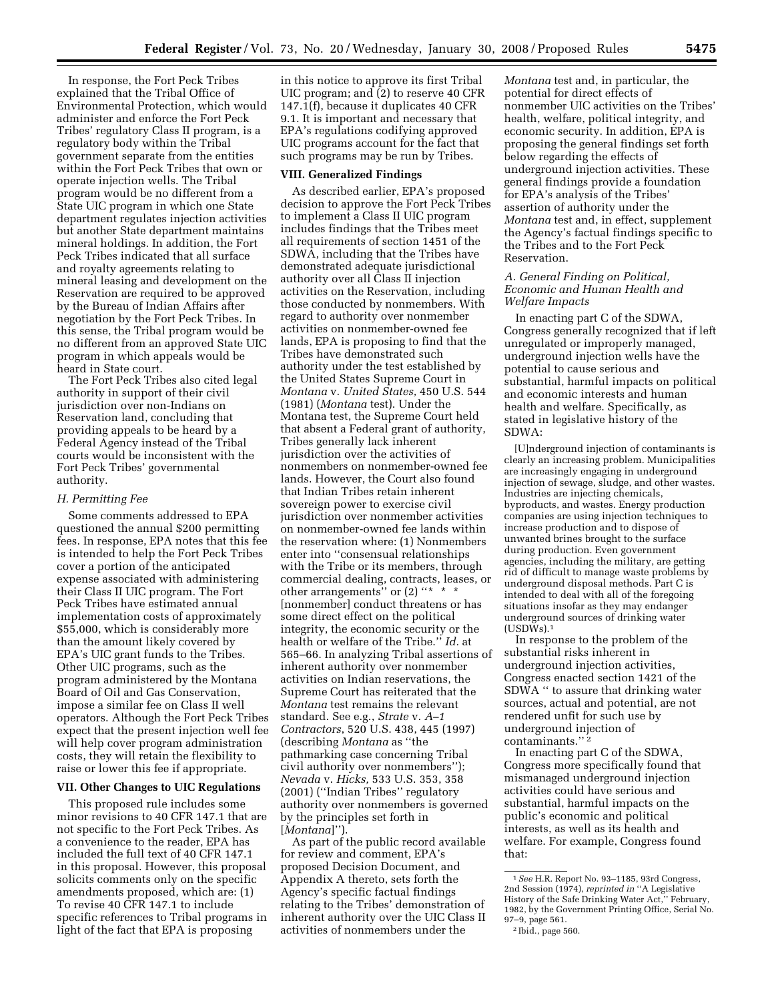In response, the Fort Peck Tribes explained that the Tribal Office of Environmental Protection, which would administer and enforce the Fort Peck Tribes' regulatory Class II program, is a regulatory body within the Tribal government separate from the entities within the Fort Peck Tribes that own or operate injection wells. The Tribal program would be no different from a State UIC program in which one State department regulates injection activities but another State department maintains mineral holdings. In addition, the Fort Peck Tribes indicated that all surface and royalty agreements relating to mineral leasing and development on the Reservation are required to be approved by the Bureau of Indian Affairs after negotiation by the Fort Peck Tribes. In this sense, the Tribal program would be no different from an approved State UIC

heard in State court. The Fort Peck Tribes also cited legal authority in support of their civil jurisdiction over non-Indians on Reservation land, concluding that providing appeals to be heard by a Federal Agency instead of the Tribal courts would be inconsistent with the Fort Peck Tribes' governmental authority.

program in which appeals would be

## *H. Permitting Fee*

Some comments addressed to EPA questioned the annual \$200 permitting fees. In response, EPA notes that this fee is intended to help the Fort Peck Tribes cover a portion of the anticipated expense associated with administering their Class II UIC program. The Fort Peck Tribes have estimated annual implementation costs of approximately \$55,000, which is considerably more than the amount likely covered by EPA's UIC grant funds to the Tribes. Other UIC programs, such as the program administered by the Montana Board of Oil and Gas Conservation, impose a similar fee on Class II well operators. Although the Fort Peck Tribes expect that the present injection well fee will help cover program administration costs, they will retain the flexibility to raise or lower this fee if appropriate.

#### **VII. Other Changes to UIC Regulations**

This proposed rule includes some minor revisions to 40 CFR 147.1 that are not specific to the Fort Peck Tribes. As a convenience to the reader, EPA has included the full text of 40 CFR 147.1 in this proposal. However, this proposal solicits comments only on the specific amendments proposed, which are: (1) To revise 40 CFR 147.1 to include specific references to Tribal programs in light of the fact that EPA is proposing

in this notice to approve its first Tribal UIC program; and (2) to reserve 40 CFR 147.1(f), because it duplicates 40 CFR 9.1. It is important and necessary that EPA's regulations codifying approved UIC programs account for the fact that such programs may be run by Tribes.

## **VIII. Generalized Findings**

As described earlier, EPA's proposed decision to approve the Fort Peck Tribes to implement a Class II UIC program includes findings that the Tribes meet all requirements of section 1451 of the SDWA, including that the Tribes have demonstrated adequate jurisdictional authority over all Class II injection activities on the Reservation, including those conducted by nonmembers. With regard to authority over nonmember activities on nonmember-owned fee lands, EPA is proposing to find that the Tribes have demonstrated such authority under the test established by the United States Supreme Court in *Montana* v. *United States,* 450 U.S. 544 (1981) (*Montana* test). Under the Montana test, the Supreme Court held that absent a Federal grant of authority, Tribes generally lack inherent jurisdiction over the activities of nonmembers on nonmember-owned fee lands. However, the Court also found that Indian Tribes retain inherent sovereign power to exercise civil jurisdiction over nonmember activities on nonmember-owned fee lands within the reservation where: (1) Nonmembers enter into ''consensual relationships with the Tribe or its members, through commercial dealing, contracts, leases, or other arrangements" or (2) "\* \* \* [nonmember] conduct threatens or has some direct effect on the political integrity, the economic security or the health or welfare of the Tribe.'' *Id.* at 565–66. In analyzing Tribal assertions of inherent authority over nonmember activities on Indian reservations, the Supreme Court has reiterated that the *Montana* test remains the relevant standard. See e.g., *Strate* v. *A–1 Contractors*, 520 U.S. 438, 445 (1997) (describing *Montana* as ''the pathmarking case concerning Tribal civil authority over nonmembers''); *Nevada* v. *Hicks,* 533 U.S. 353, 358 (2001) (''Indian Tribes'' regulatory authority over nonmembers is governed by the principles set forth in [*Montana*]'').

As part of the public record available for review and comment, EPA's proposed Decision Document, and Appendix A thereto, sets forth the Agency's specific factual findings relating to the Tribes' demonstration of inherent authority over the UIC Class II activities of nonmembers under the

*Montana* test and, in particular, the potential for direct effects of nonmember UIC activities on the Tribes' health, welfare, political integrity, and economic security. In addition, EPA is proposing the general findings set forth below regarding the effects of underground injection activities. These general findings provide a foundation for EPA's analysis of the Tribes' assertion of authority under the *Montana* test and, in effect, supplement the Agency's factual findings specific to the Tribes and to the Fort Peck Reservation.

### *A. General Finding on Political, Economic and Human Health and Welfare Impacts*

In enacting part C of the SDWA, Congress generally recognized that if left unregulated or improperly managed, underground injection wells have the potential to cause serious and substantial, harmful impacts on political and economic interests and human health and welfare. Specifically, as stated in legislative history of the SDWA:

[U]nderground injection of contaminants is clearly an increasing problem. Municipalities are increasingly engaging in underground injection of sewage, sludge, and other wastes. Industries are injecting chemicals, byproducts, and wastes. Energy production companies are using injection techniques to increase production and to dispose of unwanted brines brought to the surface during production. Even government agencies, including the military, are getting rid of difficult to manage waste problems by underground disposal methods. Part C is intended to deal with all of the foregoing situations insofar as they may endanger underground sources of drinking water  $(USDWs).<sup>1</sup>$ 

In response to the problem of the substantial risks inherent in underground injection activities, Congress enacted section 1421 of the SDWA '' to assure that drinking water sources, actual and potential, are not rendered unfit for such use by underground injection of contaminants.'' 2

In enacting part C of the SDWA, Congress more specifically found that mismanaged underground injection activities could have serious and substantial, harmful impacts on the public's economic and political interests, as well as its health and welfare. For example, Congress found that:

<sup>1</sup>*See* H.R. Report No. 93–1185, 93rd Congress, 2nd Session (1974), *reprinted in* ''A Legislative History of the Safe Drinking Water Act,'' February, 1982, by the Government Printing Office, Serial No. 97–9, page 561.

<sup>2</sup> Ibid., page 560.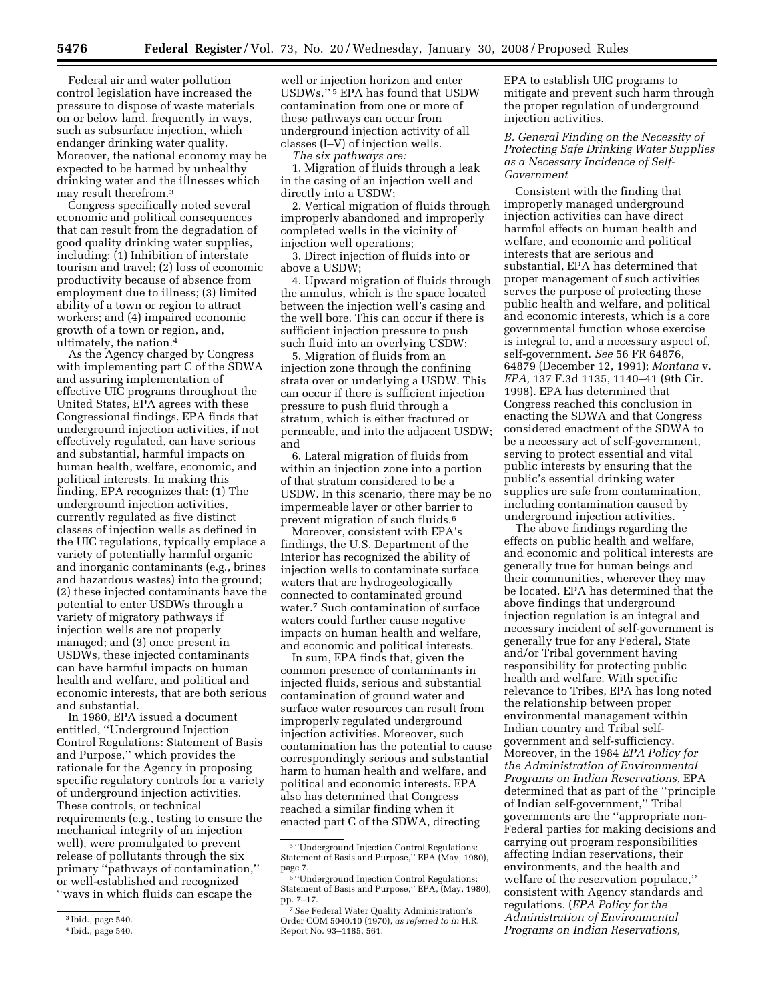Federal air and water pollution control legislation have increased the pressure to dispose of waste materials on or below land, frequently in ways, such as subsurface injection, which endanger drinking water quality. Moreover, the national economy may be expected to be harmed by unhealthy drinking water and the illnesses which may result therefrom.3

Congress specifically noted several economic and political consequences that can result from the degradation of good quality drinking water supplies, including: (1) Inhibition of interstate tourism and travel; (2) loss of economic productivity because of absence from employment due to illness; (3) limited ability of a town or region to attract workers; and (4) impaired economic growth of a town or region, and, ultimately, the nation.4

As the Agency charged by Congress with implementing part C of the SDWA and assuring implementation of effective UIC programs throughout the United States, EPA agrees with these Congressional findings. EPA finds that underground injection activities, if not effectively regulated, can have serious and substantial, harmful impacts on human health, welfare, economic, and political interests. In making this finding, EPA recognizes that: (1) The underground injection activities, currently regulated as five distinct classes of injection wells as defined in the UIC regulations, typically emplace a variety of potentially harmful organic and inorganic contaminants (e.g., brines and hazardous wastes) into the ground; (2) these injected contaminants have the potential to enter USDWs through a variety of migratory pathways if injection wells are not properly managed; and (3) once present in USDWs, these injected contaminants can have harmful impacts on human health and welfare, and political and economic interests, that are both serious and substantial.

In 1980, EPA issued a document entitled, ''Underground Injection Control Regulations: Statement of Basis and Purpose,'' which provides the rationale for the Agency in proposing specific regulatory controls for a variety of underground injection activities. These controls, or technical requirements (e.g., testing to ensure the mechanical integrity of an injection well), were promulgated to prevent release of pollutants through the six primary ''pathways of contamination,'' or well-established and recognized ''ways in which fluids can escape the

well or injection horizon and enter USDWs.'' 5 EPA has found that USDW contamination from one or more of these pathways can occur from underground injection activity of all classes (I–V) of injection wells.

*The six pathways are:* 

1. Migration of fluids through a leak in the casing of an injection well and directly into a USDW;

2. Vertical migration of fluids through improperly abandoned and improperly completed wells in the vicinity of injection well operations;

3. Direct injection of fluids into or above a USDW;

4. Upward migration of fluids through the annulus, which is the space located between the injection well's casing and the well bore. This can occur if there is sufficient injection pressure to push such fluid into an overlying USDW;

5. Migration of fluids from an injection zone through the confining strata over or underlying a USDW. This can occur if there is sufficient injection pressure to push fluid through a stratum, which is either fractured or permeable, and into the adjacent USDW; and

6. Lateral migration of fluids from within an injection zone into a portion of that stratum considered to be a USDW. In this scenario, there may be no impermeable layer or other barrier to prevent migration of such fluids.<sup>6</sup>

Moreover, consistent with EPA's findings, the U.S. Department of the Interior has recognized the ability of injection wells to contaminate surface waters that are hydrogeologically connected to contaminated ground water.7 Such contamination of surface waters could further cause negative impacts on human health and welfare, and economic and political interests.

In sum, EPA finds that, given the common presence of contaminants in injected fluids, serious and substantial contamination of ground water and surface water resources can result from improperly regulated underground injection activities. Moreover, such contamination has the potential to cause correspondingly serious and substantial harm to human health and welfare, and political and economic interests. EPA also has determined that Congress reached a similar finding when it enacted part C of the SDWA, directing

EPA to establish UIC programs to mitigate and prevent such harm through the proper regulation of underground injection activities.

## *B. General Finding on the Necessity of Protecting Safe Drinking Water Supplies as a Necessary Incidence of Self-Government*

Consistent with the finding that improperly managed underground injection activities can have direct harmful effects on human health and welfare, and economic and political interests that are serious and substantial, EPA has determined that proper management of such activities serves the purpose of protecting these public health and welfare, and political and economic interests, which is a core governmental function whose exercise is integral to, and a necessary aspect of, self-government. *See* 56 FR 64876, 64879 (December 12, 1991); *Montana* v. *EPA,* 137 F.3d 1135, 1140–41 (9th Cir. 1998). EPA has determined that Congress reached this conclusion in enacting the SDWA and that Congress considered enactment of the SDWA to be a necessary act of self-government, serving to protect essential and vital public interests by ensuring that the public's essential drinking water supplies are safe from contamination, including contamination caused by underground injection activities.

The above findings regarding the effects on public health and welfare, and economic and political interests are generally true for human beings and their communities, wherever they may be located. EPA has determined that the above findings that underground injection regulation is an integral and necessary incident of self-government is generally true for any Federal, State and/or Tribal government having responsibility for protecting public health and welfare. With specific relevance to Tribes, EPA has long noted the relationship between proper environmental management within Indian country and Tribal selfgovernment and self-sufficiency. Moreover, in the 1984 *EPA Policy for the Administration of Environmental Programs on Indian Reservations,* EPA determined that as part of the ''principle of Indian self-government,'' Tribal governments are the ''appropriate non-Federal parties for making decisions and carrying out program responsibilities affecting Indian reservations, their environments, and the health and welfare of the reservation populace,'' consistent with Agency standards and regulations. (*EPA Policy for the Administration of Environmental Programs on Indian Reservations,* 

<sup>3</sup> Ibid., page 540.

<sup>4</sup> Ibid., page 540.

<sup>5</sup> ''Underground Injection Control Regulations: Statement of Basis and Purpose,'' EPA (May, 1980), page 7.

 $^{\rm 6}$  ''Underground Injection Control Regulations: Statement of Basis and Purpose,'' EPA, (May, 1980), pp. 7–17.

<sup>7</sup>*See* Federal Water Quality Administration's Order COM 5040.10 (1970), *as referred to in* H.R. Report No. 93–1185, 561.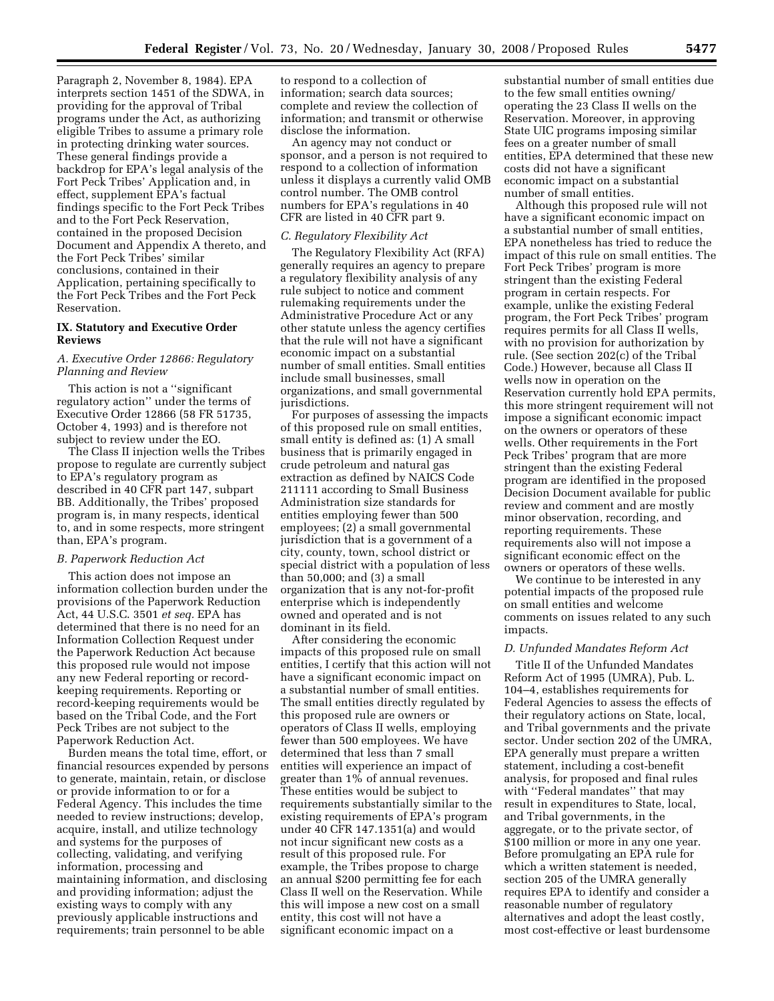Paragraph 2, November 8, 1984). EPA interprets section 1451 of the SDWA, in providing for the approval of Tribal programs under the Act, as authorizing eligible Tribes to assume a primary role in protecting drinking water sources. These general findings provide a backdrop for EPA's legal analysis of the Fort Peck Tribes' Application and, in effect, supplement EPA's factual findings specific to the Fort Peck Tribes and to the Fort Peck Reservation, contained in the proposed Decision Document and Appendix A thereto, and the Fort Peck Tribes' similar conclusions, contained in their Application, pertaining specifically to the Fort Peck Tribes and the Fort Peck Reservation.

## **IX. Statutory and Executive Order Reviews**

### *A. Executive Order 12866: Regulatory Planning and Review*

This action is not a ''significant regulatory action'' under the terms of Executive Order 12866 (58 FR 51735, October 4, 1993) and is therefore not subject to review under the EO.

The Class II injection wells the Tribes propose to regulate are currently subject to EPA's regulatory program as described in 40 CFR part 147, subpart BB. Additionally, the Tribes' proposed program is, in many respects, identical to, and in some respects, more stringent than, EPA's program.

#### *B. Paperwork Reduction Act*

This action does not impose an information collection burden under the provisions of the Paperwork Reduction Act, 44 U.S.C. 3501 *et seq.* EPA has determined that there is no need for an Information Collection Request under the Paperwork Reduction Act because this proposed rule would not impose any new Federal reporting or recordkeeping requirements. Reporting or record-keeping requirements would be based on the Tribal Code, and the Fort Peck Tribes are not subject to the Paperwork Reduction Act.

Burden means the total time, effort, or financial resources expended by persons to generate, maintain, retain, or disclose or provide information to or for a Federal Agency. This includes the time needed to review instructions; develop, acquire, install, and utilize technology and systems for the purposes of collecting, validating, and verifying information, processing and maintaining information, and disclosing and providing information; adjust the existing ways to comply with any previously applicable instructions and requirements; train personnel to be able

to respond to a collection of information; search data sources; complete and review the collection of information; and transmit or otherwise disclose the information.

An agency may not conduct or sponsor, and a person is not required to respond to a collection of information unless it displays a currently valid OMB control number. The OMB control numbers for EPA's regulations in 40 CFR are listed in 40 CFR part 9.

## *C. Regulatory Flexibility Act*

The Regulatory Flexibility Act (RFA) generally requires an agency to prepare a regulatory flexibility analysis of any rule subject to notice and comment rulemaking requirements under the Administrative Procedure Act or any other statute unless the agency certifies that the rule will not have a significant economic impact on a substantial number of small entities. Small entities include small businesses, small organizations, and small governmental jurisdictions.

For purposes of assessing the impacts of this proposed rule on small entities, small entity is defined as: (1) A small business that is primarily engaged in crude petroleum and natural gas extraction as defined by NAICS Code 211111 according to Small Business Administration size standards for entities employing fewer than 500 employees; (2) a small governmental jurisdiction that is a government of a city, county, town, school district or special district with a population of less than 50,000; and (3) a small organization that is any not-for-profit enterprise which is independently owned and operated and is not dominant in its field.

After considering the economic impacts of this proposed rule on small entities, I certify that this action will not have a significant economic impact on a substantial number of small entities. The small entities directly regulated by this proposed rule are owners or operators of Class II wells, employing fewer than 500 employees. We have determined that less than 7 small entities will experience an impact of greater than 1% of annual revenues. These entities would be subject to requirements substantially similar to the existing requirements of EPA's program under 40 CFR 147.1351(a) and would not incur significant new costs as a result of this proposed rule. For example, the Tribes propose to charge an annual \$200 permitting fee for each Class II well on the Reservation. While this will impose a new cost on a small entity, this cost will not have a significant economic impact on a

substantial number of small entities due to the few small entities owning/ operating the 23 Class II wells on the Reservation. Moreover, in approving State UIC programs imposing similar fees on a greater number of small entities, EPA determined that these new costs did not have a significant economic impact on a substantial number of small entities.

Although this proposed rule will not have a significant economic impact on a substantial number of small entities, EPA nonetheless has tried to reduce the impact of this rule on small entities. The Fort Peck Tribes' program is more stringent than the existing Federal program in certain respects. For example, unlike the existing Federal program, the Fort Peck Tribes' program requires permits for all Class II wells, with no provision for authorization by rule. (See section 202(c) of the Tribal Code.) However, because all Class II wells now in operation on the Reservation currently hold EPA permits, this more stringent requirement will not impose a significant economic impact on the owners or operators of these wells. Other requirements in the Fort Peck Tribes' program that are more stringent than the existing Federal program are identified in the proposed Decision Document available for public review and comment and are mostly minor observation, recording, and reporting requirements. These requirements also will not impose a significant economic effect on the owners or operators of these wells.

We continue to be interested in any potential impacts of the proposed rule on small entities and welcome comments on issues related to any such impacts.

#### *D. Unfunded Mandates Reform Act*

Title II of the Unfunded Mandates Reform Act of 1995 (UMRA), Pub. L. 104–4, establishes requirements for Federal Agencies to assess the effects of their regulatory actions on State, local, and Tribal governments and the private sector. Under section 202 of the UMRA, EPA generally must prepare a written statement, including a cost-benefit analysis, for proposed and final rules with ''Federal mandates'' that may result in expenditures to State, local, and Tribal governments, in the aggregate, or to the private sector, of \$100 million or more in any one year. Before promulgating an EPA rule for which a written statement is needed, section 205 of the UMRA generally requires EPA to identify and consider a reasonable number of regulatory alternatives and adopt the least costly, most cost-effective or least burdensome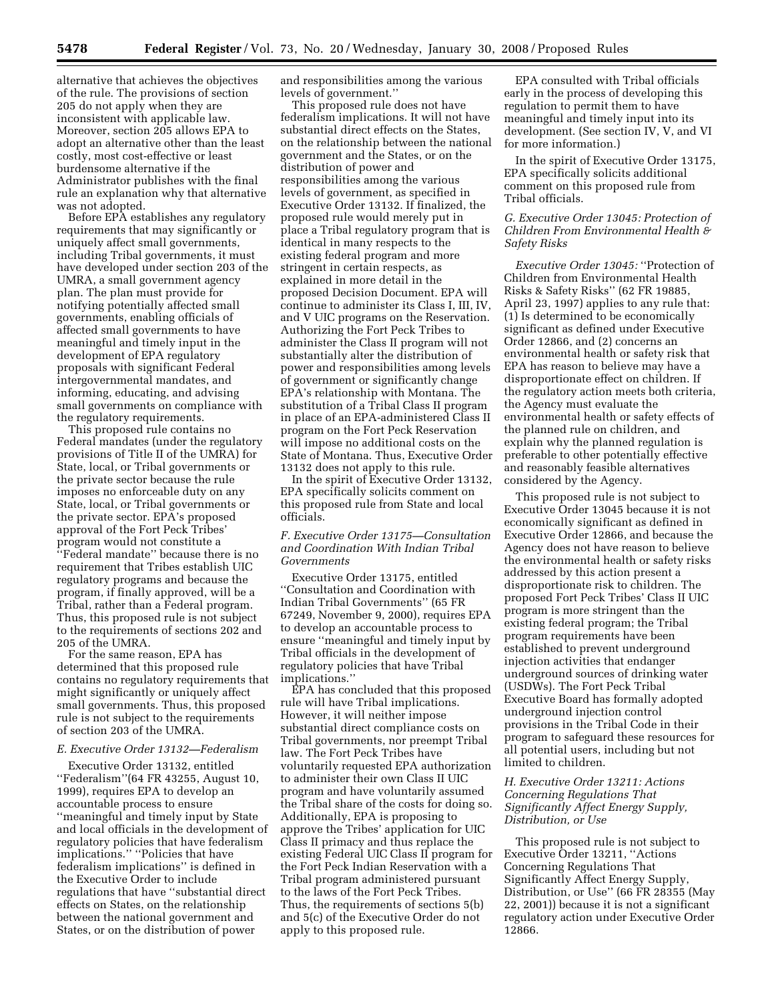alternative that achieves the objectives of the rule. The provisions of section 205 do not apply when they are inconsistent with applicable law. Moreover, section 205 allows EPA to adopt an alternative other than the least costly, most cost-effective or least burdensome alternative if the Administrator publishes with the final rule an explanation why that alternative was not adopted.

Before EPA establishes any regulatory requirements that may significantly or uniquely affect small governments, including Tribal governments, it must have developed under section 203 of the UMRA, a small government agency plan. The plan must provide for notifying potentially affected small governments, enabling officials of affected small governments to have meaningful and timely input in the development of EPA regulatory proposals with significant Federal intergovernmental mandates, and informing, educating, and advising small governments on compliance with the regulatory requirements.

This proposed rule contains no Federal mandates (under the regulatory provisions of Title II of the UMRA) for State, local, or Tribal governments or the private sector because the rule imposes no enforceable duty on any State, local, or Tribal governments or the private sector. EPA's proposed approval of the Fort Peck Tribes' program would not constitute a ''Federal mandate'' because there is no requirement that Tribes establish UIC regulatory programs and because the program, if finally approved, will be a Tribal, rather than a Federal program. Thus, this proposed rule is not subject to the requirements of sections 202 and 205 of the UMRA.

For the same reason, EPA has determined that this proposed rule contains no regulatory requirements that might significantly or uniquely affect small governments. Thus, this proposed rule is not subject to the requirements of section 203 of the UMRA.

# *E. Executive Order 13132—Federalism*

Executive Order 13132, entitled ''Federalism''(64 FR 43255, August 10, 1999), requires EPA to develop an accountable process to ensure ''meaningful and timely input by State and local officials in the development of regulatory policies that have federalism implications.'' ''Policies that have federalism implications'' is defined in the Executive Order to include regulations that have ''substantial direct effects on States, on the relationship between the national government and States, or on the distribution of power

and responsibilities among the various levels of government.''

This proposed rule does not have federalism implications. It will not have substantial direct effects on the States, on the relationship between the national government and the States, or on the distribution of power and responsibilities among the various levels of government, as specified in Executive Order 13132. If finalized, the proposed rule would merely put in place a Tribal regulatory program that is identical in many respects to the existing federal program and more stringent in certain respects, as explained in more detail in the proposed Decision Document. EPA will continue to administer its Class I, III, IV, and V UIC programs on the Reservation. Authorizing the Fort Peck Tribes to administer the Class II program will not substantially alter the distribution of power and responsibilities among levels of government or significantly change EPA's relationship with Montana. The substitution of a Tribal Class II program in place of an EPA-administered Class II program on the Fort Peck Reservation will impose no additional costs on the State of Montana. Thus, Executive Order 13132 does not apply to this rule.

In the spirit of Executive Order 13132, EPA specifically solicits comment on this proposed rule from State and local officials.

## *F. Executive Order 13175—Consultation and Coordination With Indian Tribal Governments*

Executive Order 13175, entitled ''Consultation and Coordination with Indian Tribal Governments'' (65 FR 67249, November 9, 2000), requires EPA to develop an accountable process to ensure ''meaningful and timely input by Tribal officials in the development of regulatory policies that have Tribal implications.''

EPA has concluded that this proposed rule will have Tribal implications. However, it will neither impose substantial direct compliance costs on Tribal governments, nor preempt Tribal law. The Fort Peck Tribes have voluntarily requested EPA authorization to administer their own Class II UIC program and have voluntarily assumed the Tribal share of the costs for doing so. Additionally, EPA is proposing to approve the Tribes' application for UIC Class II primacy and thus replace the existing Federal UIC Class II program for the Fort Peck Indian Reservation with a Tribal program administered pursuant to the laws of the Fort Peck Tribes. Thus, the requirements of sections 5(b) and 5(c) of the Executive Order do not apply to this proposed rule.

EPA consulted with Tribal officials early in the process of developing this regulation to permit them to have meaningful and timely input into its development. (See section IV, V, and VI for more information.)

In the spirit of Executive Order 13175, EPA specifically solicits additional comment on this proposed rule from Tribal officials.

## *G. Executive Order 13045: Protection of Children From Environmental Health & Safety Risks*

*Executive Order 13045:* ''Protection of Children from Environmental Health Risks & Safety Risks'' (62 FR 19885, April 23, 1997) applies to any rule that: (1) Is determined to be economically significant as defined under Executive Order 12866, and (2) concerns an environmental health or safety risk that EPA has reason to believe may have a disproportionate effect on children. If the regulatory action meets both criteria, the Agency must evaluate the environmental health or safety effects of the planned rule on children, and explain why the planned regulation is preferable to other potentially effective and reasonably feasible alternatives considered by the Agency.

This proposed rule is not subject to Executive Order 13045 because it is not economically significant as defined in Executive Order 12866, and because the Agency does not have reason to believe the environmental health or safety risks addressed by this action present a disproportionate risk to children. The proposed Fort Peck Tribes' Class II UIC program is more stringent than the existing federal program; the Tribal program requirements have been established to prevent underground injection activities that endanger underground sources of drinking water (USDWs). The Fort Peck Tribal Executive Board has formally adopted underground injection control provisions in the Tribal Code in their program to safeguard these resources for all potential users, including but not limited to children.

## *H. Executive Order 13211: Actions Concerning Regulations That Significantly Affect Energy Supply, Distribution, or Use*

This proposed rule is not subject to Executive Order 13211, ''Actions Concerning Regulations That Significantly Affect Energy Supply, Distribution, or Use'' (66 FR 28355 (May 22, 2001)) because it is not a significant regulatory action under Executive Order 12866.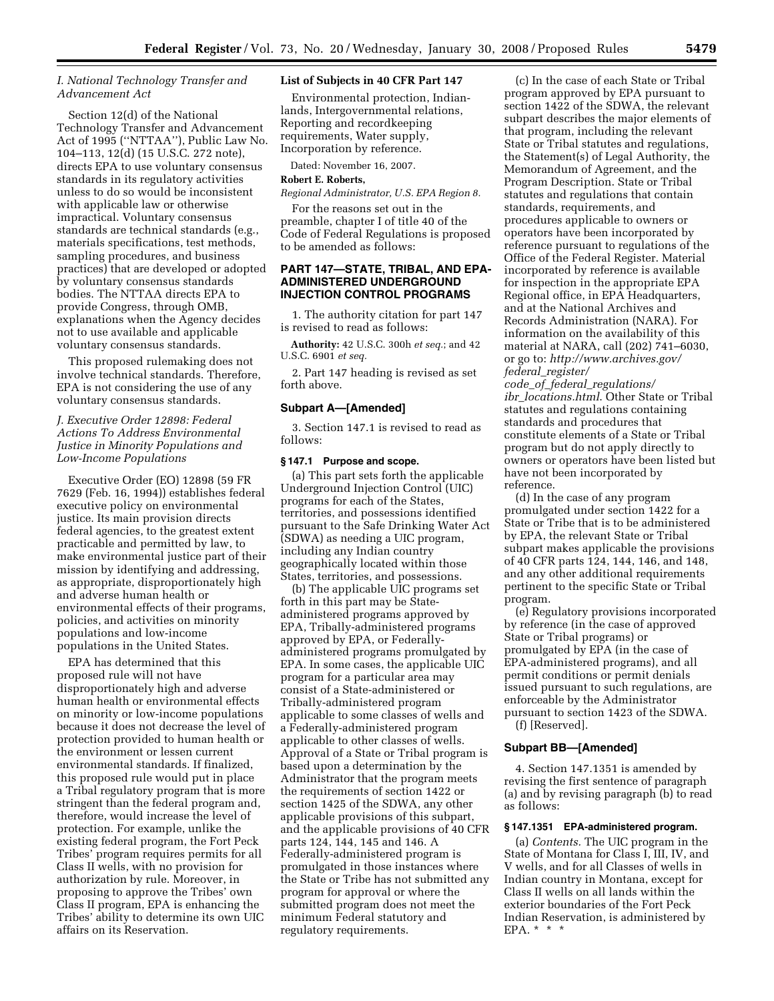## *I. National Technology Transfer and Advancement Act*

Section 12(d) of the National Technology Transfer and Advancement Act of 1995 (''NTTAA''), Public Law No. 104–113, 12(d) (15 U.S.C. 272 note), directs EPA to use voluntary consensus standards in its regulatory activities unless to do so would be inconsistent with applicable law or otherwise impractical. Voluntary consensus standards are technical standards (e.g., materials specifications, test methods, sampling procedures, and business practices) that are developed or adopted by voluntary consensus standards bodies. The NTTAA directs EPA to provide Congress, through OMB, explanations when the Agency decides not to use available and applicable voluntary consensus standards.

This proposed rulemaking does not involve technical standards. Therefore, EPA is not considering the use of any voluntary consensus standards.

## *J. Executive Order 12898: Federal Actions To Address Environmental Justice in Minority Populations and Low-Income Populations*

Executive Order (EO) 12898 (59 FR 7629 (Feb. 16, 1994)) establishes federal executive policy on environmental justice. Its main provision directs federal agencies, to the greatest extent practicable and permitted by law, to make environmental justice part of their mission by identifying and addressing, as appropriate, disproportionately high and adverse human health or environmental effects of their programs, policies, and activities on minority populations and low-income populations in the United States.

EPA has determined that this proposed rule will not have disproportionately high and adverse human health or environmental effects on minority or low-income populations because it does not decrease the level of protection provided to human health or the environment or lessen current environmental standards. If finalized, this proposed rule would put in place a Tribal regulatory program that is more stringent than the federal program and, therefore, would increase the level of protection. For example, unlike the existing federal program, the Fort Peck Tribes' program requires permits for all Class II wells, with no provision for authorization by rule. Moreover, in proposing to approve the Tribes' own Class II program, EPA is enhancing the Tribes' ability to determine its own UIC affairs on its Reservation.

### **List of Subjects in 40 CFR Part 147**

Environmental protection, Indianlands, Intergovernmental relations, Reporting and recordkeeping requirements, Water supply, Incorporation by reference.

Dated: November 16, 2007.

## **Robert E. Roberts,**

*Regional Administrator, U.S. EPA Region 8.* 

For the reasons set out in the preamble, chapter I of title 40 of the Code of Federal Regulations is proposed to be amended as follows:

## **PART 147—STATE, TRIBAL, AND EPA-ADMINISTERED UNDERGROUND INJECTION CONTROL PROGRAMS**

1. The authority citation for part 147 is revised to read as follows:

**Authority:** 42 U.S.C. 300h *et seq.*; and 42 U.S.C. 6901 *et seq.* 

2. Part 147 heading is revised as set forth above.

#### **Subpart A—[Amended]**

3. Section 147.1 is revised to read as follows:

### **§ 147.1 Purpose and scope.**

(a) This part sets forth the applicable Underground Injection Control (UIC) programs for each of the States, territories, and possessions identified pursuant to the Safe Drinking Water Act (SDWA) as needing a UIC program, including any Indian country geographically located within those States, territories, and possessions.

(b) The applicable UIC programs set forth in this part may be Stateadministered programs approved by EPA, Tribally-administered programs approved by EPA, or Federallyadministered programs promulgated by EPA. In some cases, the applicable UIC program for a particular area may consist of a State-administered or Tribally-administered program applicable to some classes of wells and a Federally-administered program applicable to other classes of wells. Approval of a State or Tribal program is based upon a determination by the Administrator that the program meets the requirements of section 1422 or section 1425 of the SDWA, any other applicable provisions of this subpart, and the applicable provisions of 40 CFR parts 124, 144, 145 and 146. A Federally-administered program is promulgated in those instances where the State or Tribe has not submitted any program for approval or where the submitted program does not meet the minimum Federal statutory and regulatory requirements.

(c) In the case of each State or Tribal program approved by EPA pursuant to section 1422 of the SDWA, the relevant subpart describes the major elements of that program, including the relevant State or Tribal statutes and regulations, the Statement(s) of Legal Authority, the Memorandum of Agreement, and the Program Description. State or Tribal statutes and regulations that contain standards, requirements, and procedures applicable to owners or operators have been incorporated by reference pursuant to regulations of the Office of the Federal Register. Material incorporated by reference is available for inspection in the appropriate EPA Regional office, in EPA Headquarters, and at the National Archives and Records Administration (NARA). For information on the availability of this material at NARA, call (202) 741–6030, or go to: *http://www.archives.gov/ federal*\_*register/* 

*code*\_*of*\_*federal*\_*regulations/ ibr*\_*locations.html*. Other State or Tribal statutes and regulations containing standards and procedures that constitute elements of a State or Tribal program but do not apply directly to owners or operators have been listed but have not been incorporated by reference.

(d) In the case of any program promulgated under section 1422 for a State or Tribe that is to be administered by EPA, the relevant State or Tribal subpart makes applicable the provisions of 40 CFR parts 124, 144, 146, and 148, and any other additional requirements pertinent to the specific State or Tribal program.

(e) Regulatory provisions incorporated by reference (in the case of approved State or Tribal programs) or promulgated by EPA (in the case of EPA-administered programs), and all permit conditions or permit denials issued pursuant to such regulations, are enforceable by the Administrator pursuant to section 1423 of the SDWA. (f) [Reserved].

### **Subpart BB—[Amended]**

4. Section 147.1351 is amended by revising the first sentence of paragraph (a) and by revising paragraph (b) to read as follows:

#### **§ 147.1351 EPA-administered program.**

(a) *Contents.* The UIC program in the State of Montana for Class I, III, IV, and V wells, and for all Classes of wells in Indian country in Montana, except for Class II wells on all lands within the exterior boundaries of the Fort Peck Indian Reservation, is administered by EPA. \* \* \*